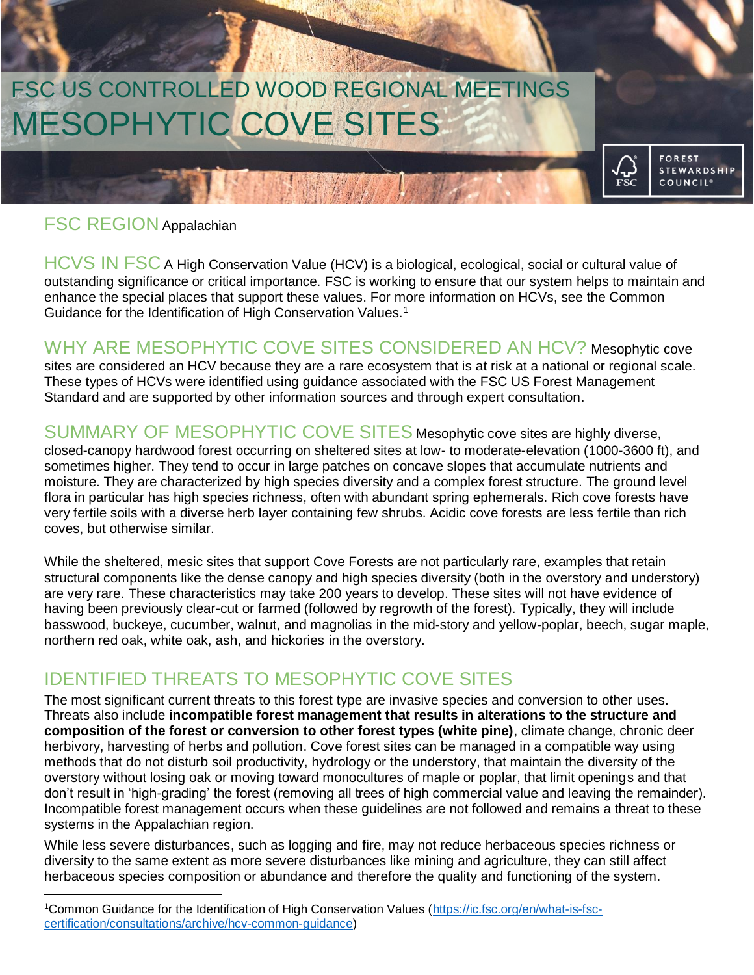# MESOPHYTIC COVE SITES FSC US CONTROLLED WOOD REGIONAL MEETINGS

#### FSC REGION Appalachian

 $\overline{a}$ 

HCVS IN FSC A High Conservation Value (HCV) is a biological, ecological, social or cultural value of outstanding significance or critical importance. FSC is working to ensure that our system helps to maintain and enhance the special places that support these values. For more information on HCVs, see the Common Guidance for the Identification of High Conservation Values.<sup>1</sup>

**FOREST STEWARDSHIP COUNCIL<sup>®</sup>** 

要对象

Millet the

WHY ARE MESOPHYTIC COVE SITES CONSIDERED AN HCV? Mesophytic cove sites are considered an HCV because they are a rare ecosystem that is at risk at a national or regional scale. These types of HCVs were identified using guidance associated with the FSC US Forest Management Standard and are supported by other information sources and through expert consultation.

SUMMARY OF MESOPHYTIC COVE SITES Mesophytic cove sites are highly diverse, closed-canopy hardwood forest occurring on sheltered sites at low- to moderate-elevation (1000-3600 ft), and sometimes higher. They tend to occur in large patches on concave slopes that accumulate nutrients and moisture. They are characterized by high species diversity and a complex forest structure. The ground level flora in particular has high species richness, often with abundant spring ephemerals. Rich cove forests have very fertile soils with a diverse herb layer containing few shrubs. Acidic cove forests are less fertile than rich coves, but otherwise similar.

While the sheltered, mesic sites that support Cove Forests are not particularly rare, examples that retain structural components like the dense canopy and high species diversity (both in the overstory and understory) are very rare. These characteristics may take 200 years to develop. These sites will not have evidence of having been previously clear-cut or farmed (followed by regrowth of the forest). Typically, they will include basswood, buckeye, cucumber, walnut, and magnolias in the mid-story and yellow-poplar, beech, sugar maple, northern red oak, white oak, ash, and hickories in the overstory.

## IDENTIFIED THREATS TO MESOPHYTIC COVE SITES

The most significant current threats to this forest type are invasive species and conversion to other uses. Threats also include **incompatible forest management that results in alterations to the structure and composition of the forest or conversion to other forest types (white pine)**, climate change, chronic deer herbivory, harvesting of herbs and pollution. Cove forest sites can be managed in a compatible way using methods that do not disturb soil productivity, hydrology or the understory, that maintain the diversity of the overstory without losing oak or moving toward monocultures of maple or poplar, that limit openings and that don't result in 'high-grading' the forest (removing all trees of high commercial value and leaving the remainder). Incompatible forest management occurs when these guidelines are not followed and remains a threat to these systems in the Appalachian region.

While less severe disturbances, such as logging and fire, may not reduce herbaceous species richness or diversity to the same extent as more severe disturbances like mining and agriculture, they can still affect herbaceous species composition or abundance and therefore the quality and functioning of the system.

<sup>1</sup>Common Guidance for the Identification of High Conservation Values [\(https://ic.fsc.org/en/what-is-fsc](https://ic.fsc.org/en/what-is-fsc-certification/consultations/archive/hcv-common-guidance)[certification/consultations/archive/hcv-common-guidance\)](https://ic.fsc.org/en/what-is-fsc-certification/consultations/archive/hcv-common-guidance)